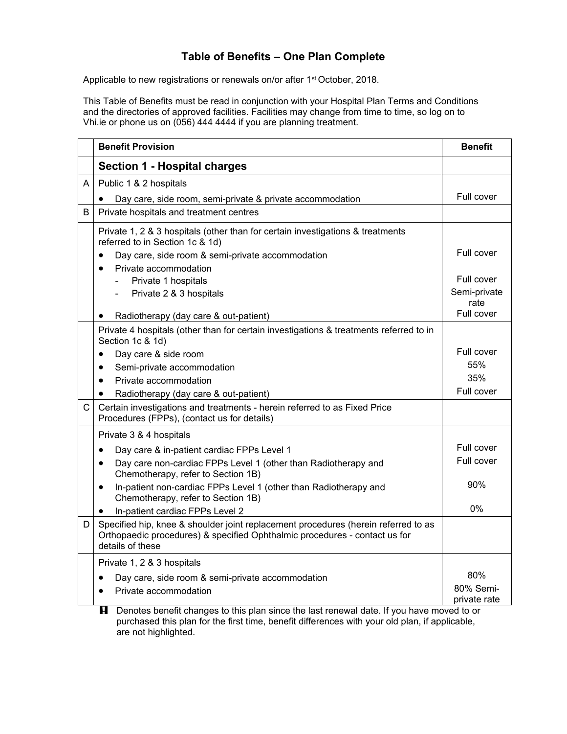## **Table of Benefits – One Plan Complete**

Applicable to new registrations or renewals on/or after 1<sup>st</sup> October, 2018.

This Table of Benefits must be read in conjunction with your Hospital Plan Terms and Conditions and the directories of approved facilities. Facilities may change from time to time, so log on to Vhi.ie or phone us on (056) 444 4444 if you are planning treatment.

|              | <b>Benefit Provision</b>                                                                                                                                                             | <b>Benefit</b>            |
|--------------|--------------------------------------------------------------------------------------------------------------------------------------------------------------------------------------|---------------------------|
|              | Section 1 - Hospital charges                                                                                                                                                         |                           |
| A            | Public 1 & 2 hospitals                                                                                                                                                               |                           |
|              | Day care, side room, semi-private & private accommodation<br>$\bullet$                                                                                                               | Full cover                |
| B            | Private hospitals and treatment centres                                                                                                                                              |                           |
|              | Private 1, 2 & 3 hospitals (other than for certain investigations & treatments<br>referred to in Section 1c & 1d)                                                                    |                           |
|              | Day care, side room & semi-private accommodation<br>$\bullet$                                                                                                                        | Full cover                |
|              | Private accommodation<br>$\bullet$                                                                                                                                                   |                           |
|              | Private 1 hospitals<br>$\overline{\phantom{0}}$                                                                                                                                      | Full cover                |
|              | Private 2 & 3 hospitals                                                                                                                                                              | Semi-private<br>rate      |
|              | Radiotherapy (day care & out-patient)                                                                                                                                                | Full cover                |
|              | Private 4 hospitals (other than for certain investigations & treatments referred to in<br>Section 1c & 1d)                                                                           |                           |
|              | Day care & side room<br>$\bullet$                                                                                                                                                    | Full cover                |
|              | Semi-private accommodation<br>$\bullet$                                                                                                                                              | 55%                       |
|              | Private accommodation<br>$\bullet$                                                                                                                                                   | 35%                       |
|              | Radiotherapy (day care & out-patient)<br>$\bullet$                                                                                                                                   | Full cover                |
| $\mathsf{C}$ | Certain investigations and treatments - herein referred to as Fixed Price<br>Procedures (FPPs), (contact us for details)                                                             |                           |
|              | Private 3 & 4 hospitals                                                                                                                                                              |                           |
|              | Day care & in-patient cardiac FPPs Level 1<br>$\bullet$                                                                                                                              | Full cover                |
|              | Day care non-cardiac FPPs Level 1 (other than Radiotherapy and<br>$\bullet$<br>Chemotherapy, refer to Section 1B)                                                                    | Full cover                |
|              | In-patient non-cardiac FPPs Level 1 (other than Radiotherapy and<br>$\bullet$<br>Chemotherapy, refer to Section 1B)                                                                  | 90%                       |
|              | In-patient cardiac FPPs Level 2<br>٠                                                                                                                                                 | $0\%$                     |
| D            | Specified hip, knee & shoulder joint replacement procedures (herein referred to as<br>Orthopaedic procedures) & specified Ophthalmic procedures - contact us for<br>details of these |                           |
|              | Private 1, 2 & 3 hospitals                                                                                                                                                           |                           |
|              | Day care, side room & semi-private accommodation<br>$\bullet$                                                                                                                        | 80%                       |
|              | Private accommodation<br>٠                                                                                                                                                           | 80% Semi-<br>private rate |
|              | Denotes benefit changes to this plan since the last renewal date. If you have moved to or<br>H                                                                                       |                           |

purchased this plan for the first time, benefit differences with your old plan, if applicable, are not highlighted.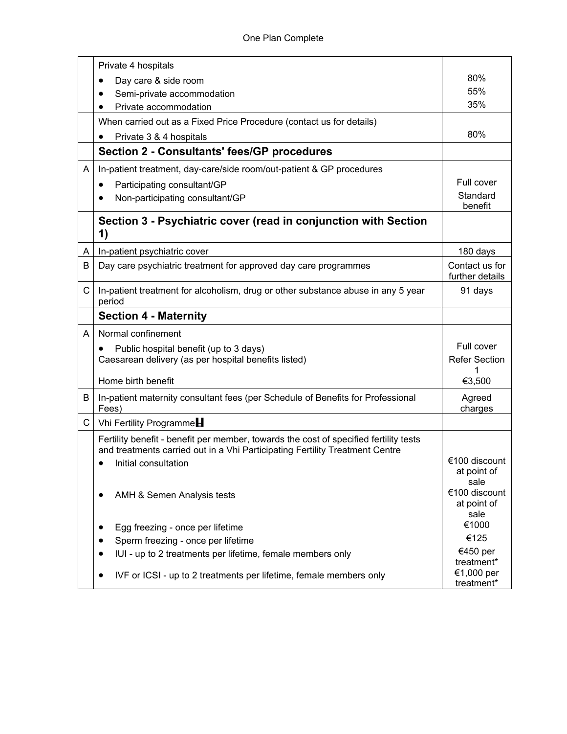|              | Private 4 hospitals                                                                                                                                                   |                                      |
|--------------|-----------------------------------------------------------------------------------------------------------------------------------------------------------------------|--------------------------------------|
|              | Day care & side room                                                                                                                                                  | 80%                                  |
|              | Semi-private accommodation                                                                                                                                            | 55%                                  |
|              | Private accommodation                                                                                                                                                 | 35%                                  |
|              | When carried out as a Fixed Price Procedure (contact us for details)                                                                                                  |                                      |
|              | Private 3 & 4 hospitals                                                                                                                                               | 80%                                  |
|              | <b>Section 2 - Consultants' fees/GP procedures</b>                                                                                                                    |                                      |
| A            | In-patient treatment, day-care/side room/out-patient & GP procedures                                                                                                  |                                      |
|              | Participating consultant/GP                                                                                                                                           | Full cover                           |
|              | Non-participating consultant/GP                                                                                                                                       | Standard<br>benefit                  |
|              | Section 3 - Psychiatric cover (read in conjunction with Section<br>1)                                                                                                 |                                      |
| A            | In-patient psychiatric cover                                                                                                                                          | 180 days                             |
| B            | Day care psychiatric treatment for approved day care programmes                                                                                                       | Contact us for<br>further details    |
| C            | In-patient treatment for alcoholism, drug or other substance abuse in any 5 year<br>period                                                                            | 91 days                              |
|              | <b>Section 4 - Maternity</b>                                                                                                                                          |                                      |
| A            | Normal confinement                                                                                                                                                    |                                      |
|              | Public hospital benefit (up to 3 days)<br>$\bullet$                                                                                                                   | Full cover                           |
|              | Caesarean delivery (as per hospital benefits listed)                                                                                                                  | <b>Refer Section</b><br>1            |
|              | Home birth benefit                                                                                                                                                    | €3,500                               |
| B            | In-patient maternity consultant fees (per Schedule of Benefits for Professional<br>Fees)                                                                              | Agreed<br>charges                    |
| $\mathsf{C}$ | Vhi Fertility Programme                                                                                                                                               |                                      |
|              | Fertility benefit - benefit per member, towards the cost of specified fertility tests<br>and treatments carried out in a Vhi Participating Fertility Treatment Centre |                                      |
|              | Initial consultation<br>$\bullet$                                                                                                                                     | €100 discount<br>at point of<br>sale |
|              | AMH & Semen Analysis tests<br>$\bullet$                                                                                                                               | €100 discount<br>at point of<br>sale |
|              | Egg freezing - once per lifetime<br>$\bullet$                                                                                                                         | €1000                                |
|              | Sperm freezing - once per lifetime                                                                                                                                    | €125                                 |
|              | IUI - up to 2 treatments per lifetime, female members only                                                                                                            | €450 per                             |
|              |                                                                                                                                                                       | treatment*<br>€1,000 per             |
|              | IVF or ICSI - up to 2 treatments per lifetime, female members only                                                                                                    | treatment*                           |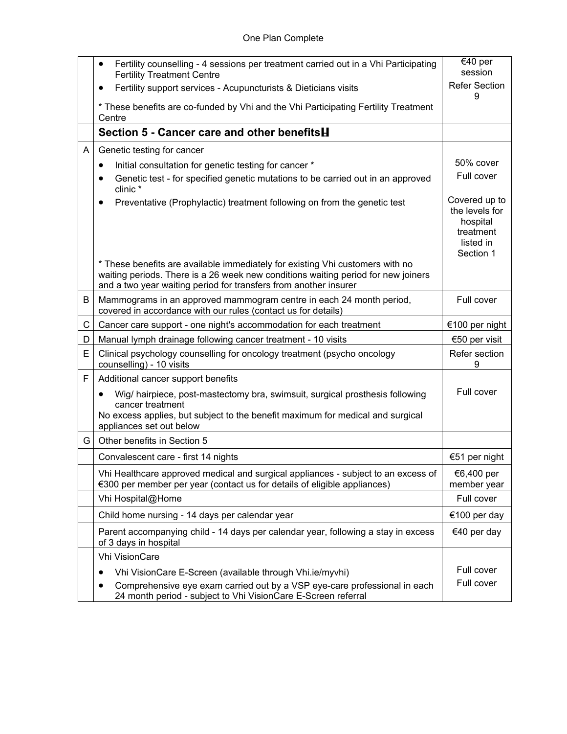|   | Fertility counselling - 4 sessions per treatment carried out in a Vhi Participating<br>$\bullet$<br><b>Fertility Treatment Centre</b>                                                                                                  | €40 per<br>session                                                                 |
|---|----------------------------------------------------------------------------------------------------------------------------------------------------------------------------------------------------------------------------------------|------------------------------------------------------------------------------------|
|   | Fertility support services - Acupuncturists & Dieticians visits                                                                                                                                                                        | <b>Refer Section</b>                                                               |
|   | * These benefits are co-funded by Vhi and the Vhi Participating Fertility Treatment<br>Centre                                                                                                                                          | 9                                                                                  |
|   | Section 5 - Cancer care and other benefits <b>H</b>                                                                                                                                                                                    |                                                                                    |
| A | Genetic testing for cancer                                                                                                                                                                                                             |                                                                                    |
|   | Initial consultation for genetic testing for cancer *<br>$\bullet$                                                                                                                                                                     | 50% cover                                                                          |
|   | Genetic test - for specified genetic mutations to be carried out in an approved<br>$\bullet$<br>clinic*                                                                                                                                | Full cover                                                                         |
|   | Preventative (Prophylactic) treatment following on from the genetic test<br>٠                                                                                                                                                          | Covered up to<br>the levels for<br>hospital<br>treatment<br>listed in<br>Section 1 |
|   | * These benefits are available immediately for existing Vhi customers with no<br>waiting periods. There is a 26 week new conditions waiting period for new joiners<br>and a two year waiting period for transfers from another insurer |                                                                                    |
| В | Mammograms in an approved mammogram centre in each 24 month period,<br>covered in accordance with our rules (contact us for details)                                                                                                   | Full cover                                                                         |
| C | Cancer care support - one night's accommodation for each treatment                                                                                                                                                                     | €100 per night                                                                     |
| D | Manual lymph drainage following cancer treatment - 10 visits                                                                                                                                                                           | €50 per visit                                                                      |
| E | Clinical psychology counselling for oncology treatment (psycho oncology<br>counselling) - 10 visits                                                                                                                                    | Refer section<br>9                                                                 |
| F | Additional cancer support benefits                                                                                                                                                                                                     |                                                                                    |
|   | Wig/ hairpiece, post-mastectomy bra, swimsuit, surgical prosthesis following<br>$\bullet$<br>cancer treatment<br>No excess applies, but subject to the benefit maximum for medical and surgical<br>appliances set out below            | Full cover                                                                         |
| G | Other benefits in Section 5                                                                                                                                                                                                            |                                                                                    |
|   | Convalescent care - first 14 nights                                                                                                                                                                                                    | €51 per night                                                                      |
|   | Vhi Healthcare approved medical and surgical appliances - subject to an excess of<br>€300 per member per year (contact us for details of eligible appliances)                                                                          | €6,400 per<br>member year                                                          |
|   | Vhi Hospital@Home                                                                                                                                                                                                                      | Full cover                                                                         |
|   | Child home nursing - 14 days per calendar year                                                                                                                                                                                         | €100 per day                                                                       |
|   | Parent accompanying child - 14 days per calendar year, following a stay in excess<br>of 3 days in hospital                                                                                                                             | €40 per day                                                                        |
|   | Vhi VisionCare                                                                                                                                                                                                                         |                                                                                    |
|   | Vhi VisionCare E-Screen (available through Vhi.ie/myvhi)                                                                                                                                                                               | Full cover                                                                         |
|   | Comprehensive eye exam carried out by a VSP eye-care professional in each<br>$\bullet$<br>24 month period - subject to Vhi VisionCare E-Screen referral                                                                                | Full cover                                                                         |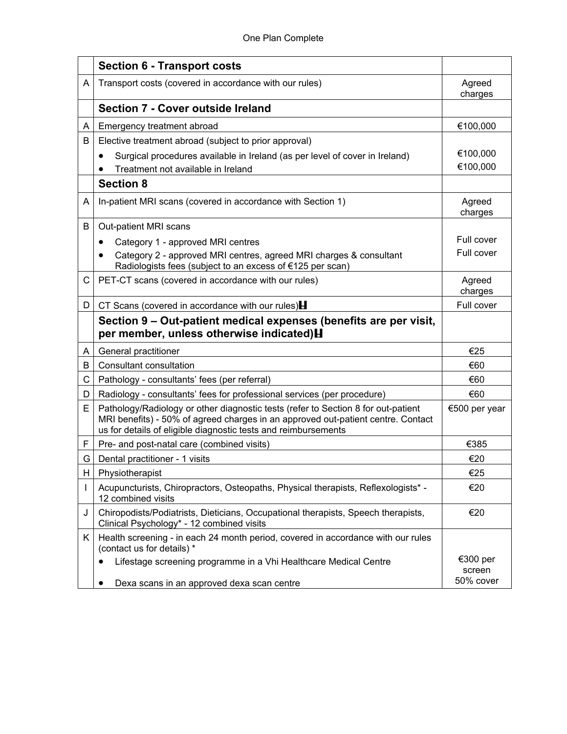|    | <b>Section 6 - Transport costs</b>                                                                                                                                                                                                      |                    |
|----|-----------------------------------------------------------------------------------------------------------------------------------------------------------------------------------------------------------------------------------------|--------------------|
| A  | Transport costs (covered in accordance with our rules)                                                                                                                                                                                  | Agreed<br>charges  |
|    | <b>Section 7 - Cover outside Ireland</b>                                                                                                                                                                                                |                    |
| A  | Emergency treatment abroad                                                                                                                                                                                                              | €100,000           |
| B  | Elective treatment abroad (subject to prior approval)                                                                                                                                                                                   |                    |
|    | Surgical procedures available in Ireland (as per level of cover in Ireland)                                                                                                                                                             | €100,000           |
|    | Treatment not available in Ireland                                                                                                                                                                                                      | €100,000           |
|    | <b>Section 8</b>                                                                                                                                                                                                                        |                    |
| A  | In-patient MRI scans (covered in accordance with Section 1)                                                                                                                                                                             | Agreed<br>charges  |
| B  | Out-patient MRI scans                                                                                                                                                                                                                   |                    |
|    | Category 1 - approved MRI centres<br>٠                                                                                                                                                                                                  | Full cover         |
|    | Category 2 - approved MRI centres, agreed MRI charges & consultant<br>$\bullet$<br>Radiologists fees (subject to an excess of €125 per scan)                                                                                            | Full cover         |
| C  | PET-CT scans (covered in accordance with our rules)                                                                                                                                                                                     | Agreed<br>charges  |
| D  | CT Scans (covered in accordance with our rules) $\blacksquare$                                                                                                                                                                          | Full cover         |
|    | Section 9 – Out-patient medical expenses (benefits are per visit,<br>per member, unless otherwise indicated) H                                                                                                                          |                    |
| A  | General practitioner                                                                                                                                                                                                                    | €25                |
| B  | <b>Consultant consultation</b>                                                                                                                                                                                                          | €60                |
| С  | Pathology - consultants' fees (per referral)                                                                                                                                                                                            | €60                |
| D  | Radiology - consultants' fees for professional services (per procedure)                                                                                                                                                                 | €60                |
| Е  | Pathology/Radiology or other diagnostic tests (refer to Section 8 for out-patient<br>MRI benefits) - 50% of agreed charges in an approved out-patient centre. Contact<br>us for details of eligible diagnostic tests and reimbursements | €500 per year      |
| F  | Pre- and post-natal care (combined visits)                                                                                                                                                                                              | €385               |
| G  | Dental practitioner - 1 visits                                                                                                                                                                                                          | €20                |
| H  | Physiotherapist                                                                                                                                                                                                                         | €25                |
| I  | Acupuncturists, Chiropractors, Osteopaths, Physical therapists, Reflexologists* -<br>12 combined visits                                                                                                                                 | €20                |
| J  | Chiropodists/Podiatrists, Dieticians, Occupational therapists, Speech therapists,<br>Clinical Psychology* - 12 combined visits                                                                                                          | €20                |
| K. | Health screening - in each 24 month period, covered in accordance with our rules<br>(contact us for details) *                                                                                                                          |                    |
|    | Lifestage screening programme in a Vhi Healthcare Medical Centre<br>$\bullet$                                                                                                                                                           | €300 per<br>screen |
|    | Dexa scans in an approved dexa scan centre                                                                                                                                                                                              | 50% cover          |